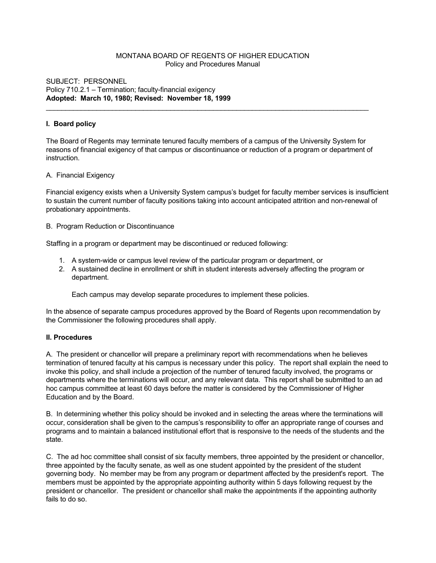# MONTANA BOARD OF REGENTS OF HIGHER EDUCATION Policy and Procedures Manual

### SUBJECT: PERSONNEL Policy 710.2.1 – Termination; faculty-financial exigency **Adopted: March 10, 1980; Revised: November 18, 1999**

# **I. Board policy**

The Board of Regents may terminate tenured faculty members of a campus of the University System for reasons of financial exigency of that campus or discontinuance or reduction of a program or department of instruction.

\_\_\_\_\_\_\_\_\_\_\_\_\_\_\_\_\_\_\_\_\_\_\_\_\_\_\_\_\_\_\_\_\_\_\_\_\_\_\_\_\_\_\_\_\_\_\_\_\_\_\_\_\_\_\_\_\_\_\_\_\_\_\_\_\_\_\_\_\_\_\_\_\_\_\_\_\_\_\_\_\_\_\_

#### A. Financial Exigency

Financial exigency exists when a University System campus's budget for faculty member services is insufficient to sustain the current number of faculty positions taking into account anticipated attrition and non-renewal of probationary appointments.

#### B. Program Reduction or Discontinuance

Staffing in a program or department may be discontinued or reduced following:

- 1. A system-wide or campus level review of the particular program or department, or
- 2. A sustained decline in enrollment or shift in student interests adversely affecting the program or department.

Each campus may develop separate procedures to implement these policies.

In the absence of separate campus procedures approved by the Board of Regents upon recommendation by the Commissioner the following procedures shall apply.

# **II. Procedures**

A. The president or chancellor will prepare a preliminary report with recommendations when he believes termination of tenured faculty at his campus is necessary under this policy. The report shall explain the need to invoke this policy, and shall include a projection of the number of tenured faculty involved, the programs or departments where the terminations will occur, and any relevant data. This report shall be submitted to an ad hoc campus committee at least 60 days before the matter is considered by the Commissioner of Higher Education and by the Board.

B. In determining whether this policy should be invoked and in selecting the areas where the terminations will occur, consideration shall be given to the campus's responsibility to offer an appropriate range of courses and programs and to maintain a balanced institutional effort that is responsive to the needs of the students and the state.

C. The ad hoc committee shall consist of six faculty members, three appointed by the president or chancellor, three appointed by the faculty senate, as well as one student appointed by the president of the student governing body. No member may be from any program or department affected by the president's report. The members must be appointed by the appropriate appointing authority within 5 days following request by the president or chancellor. The president or chancellor shall make the appointments if the appointing authority fails to do so.